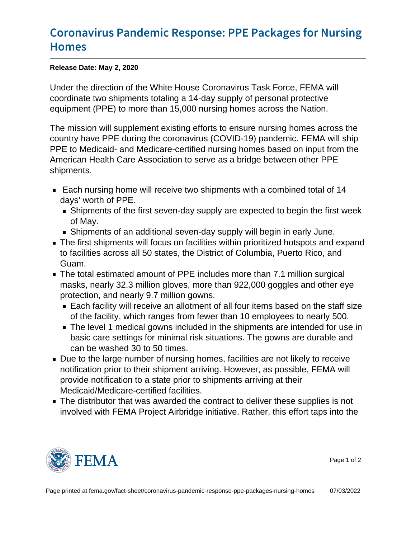## [Coronavirus Pandemic Response: PP](https://www.fema.gov/fact-sheet/coronavirus-pandemic-response-ppe-packages-nursing-homes)E Pac [Hom](https://www.fema.gov/fact-sheet/coronavirus-pandemic-response-ppe-packages-nursing-homes)es

Release Date: May 2, 2020

Under the direction of the White House Coronavirus Task Force, FEMA will coordinate two shipments totaling a 14-day supply of personal protective equipment (PPE) to more than 15,000 nursing homes across the Nation.

The mission will supplement existing efforts to ensure nursing homes across the country have PPE during the coronavirus (COVID-19) pandemic. FEMA will ship PPE to Medicaid- and Medicare-certified nursing homes based on input from the American Health Care Association to serve as a bridge between other PPE shipments.

- Each nursing home will receive two shipments with a combined total of 14 days' worth of PPE.
	- **Shipments of the first seven-day supply are expected to begin the first week** of May.
	- Shipments of an additional seven-day supply will begin in early June.
- **The first shipments will focus on facilities within prioritized hotspots and expand** to facilities across all 50 states, the District of Columbia, Puerto Rico, and Guam.
- The total estimated amount of PPE includes more than 7.1 million surgical masks, nearly 32.3 million gloves, more than 922,000 goggles and other eye protection, and nearly 9.7 million gowns.
	- Each facility will receive an allotment of all four items based on the staff size of the facility, which ranges from fewer than 10 employees to nearly 500.
	- **The level 1 medical gowns included in the shipments are intended for use in** basic care settings for minimal risk situations. The gowns are durable and can be washed 30 to 50 times.
- Due to the large number of nursing homes, facilities are not likely to receive notification prior to their shipment arriving. However, as possible, FEMA will provide notification to a state prior to shipments arriving at their Medicaid/Medicare-certified facilities.
- The distributor that was awarded the contract to deliver these supplies is not involved with FEMA Project Airbridge initiative. Rather, this effort taps into the



Page 1 of 2